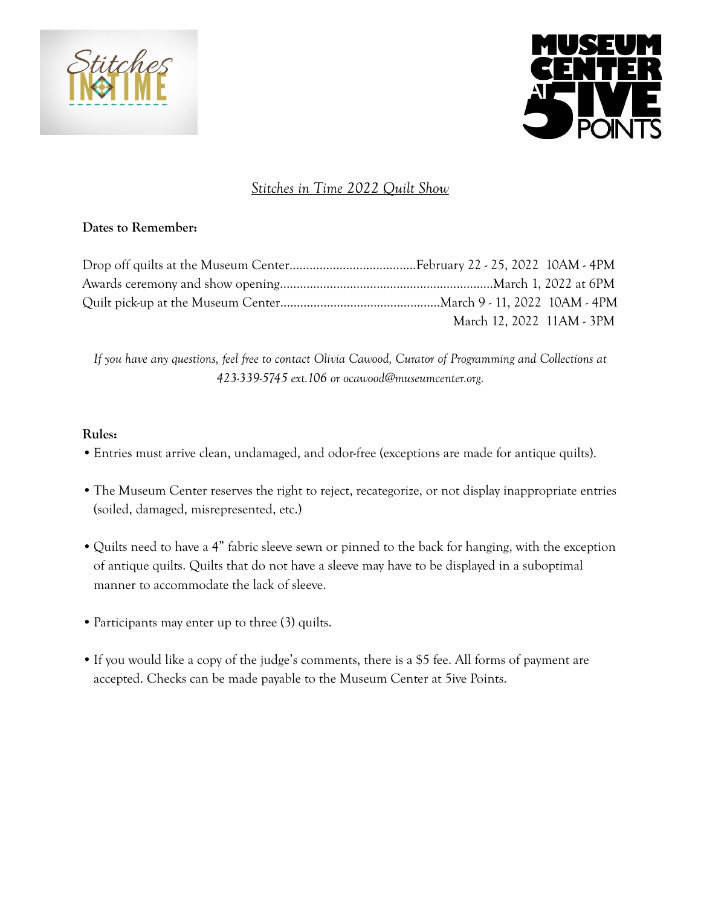



# *Stitches in Time 2022 Quilt Show*

#### **Dates to Remember:**

| March 12, 2022 11AM - 3PM |  |
|---------------------------|--|

*If you have any questions, feel free to contact Olivia Cawood, Curator of Programming and Collections at 423-339-5745 ext.106 or ocawood@museumcenter.org.*

#### **Rules:**

- •Entries must arrive clean, undamaged, and odor-free (exceptions are made for antique quilts).
- •The Museum Center reserves the right to reject, recategorize, or not display inappropriate entries (soiled, damaged, misrepresented, etc.)
- •Quilts need to have a 4" fabric sleeve sewn or pinned to the back for hanging, with the exception of antique quilts. Quilts that do not have a sleeve may have to be displayed in a suboptimal manner to accommodate the lack of sleeve.
- Participants may enter up to three (3) quilts.
- •If you would like a copy of the judge's comments, there is a \$5 fee. All forms of payment are accepted. Checks can be made payable to the Museum Center at 5ive Points.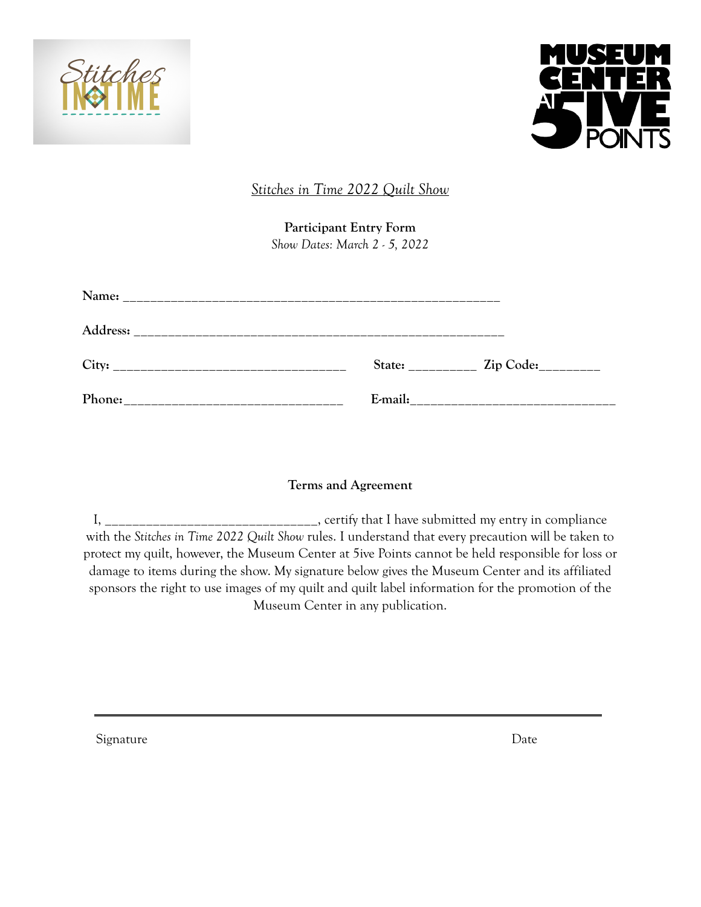



*Stitches in Time 2022 Quilt Show*

**Participant Entry Form** *Show Dates: March 2 - 5, 2022*

| Name:                                                                                                                          |         |                                                                                                                |
|--------------------------------------------------------------------------------------------------------------------------------|---------|----------------------------------------------------------------------------------------------------------------|
| Address:                                                                                                                       |         |                                                                                                                |
| City:<br><u> 1980 - Jan Barbara, masonar a shekara tshirin a shekara tshirin a shekara tshirin a shekara tshirin a shekara</u> |         | State: Zip Code:                                                                                               |
| Phone:                                                                                                                         | E-mail: | and a complete the contract of the complete the contract of the contract of the contract of the contract of th |

## **Terms and Agreement**

I, \_\_\_\_\_\_\_\_\_\_\_\_\_\_\_\_\_\_\_\_\_\_\_\_\_\_\_\_\_\_\_, certify that I have submitted my entry in compliance with the *Stitches in Time 2022 Quilt Show* rules. I understand that every precaution will be taken to protect my quilt, however, the Museum Center at 5ive Points cannot be held responsible for loss or damage to items during the show. My signature below gives the Museum Center and its affiliated sponsors the right to use images of my quilt and quilt label information for the promotion of the Museum Center in any publication.

Signature Date